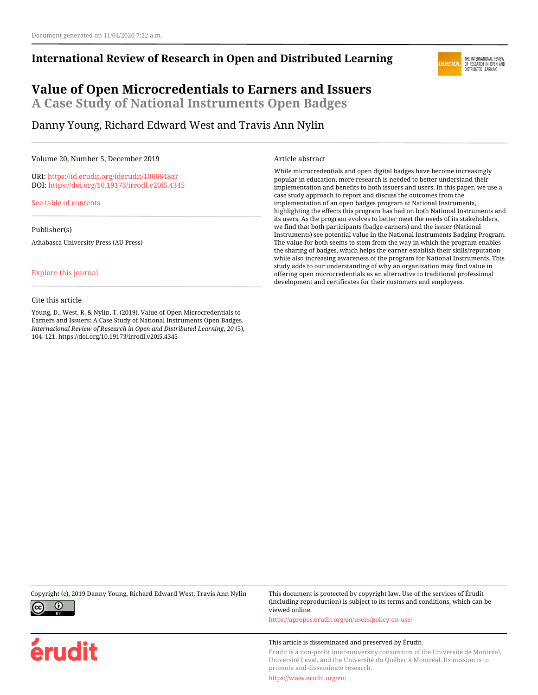### **International Review of Research in Open and Distributed Learning**

#### THE INTERNATIONAL REVIEW<br>OF RESEARCH IN OPEN AND **IRRODI** DISTRIBUTED LEARNING

## **Value of Open Microcredentials to Earners and Issuers A Case Study of National Instruments Open Badges**

Danny Young, Richard Edward West and Travis Ann Nylin

#### Volume 20, Number 5, December 2019

URI:<https://id.erudit.org/iderudit/1066648ar> DOI:<https://doi.org/10.19173/irrodl.v20i5.4345>

[See table of contents](https://www.erudit.org/en/journals/irrodl/2019-v20-n5-irrodl05069/)

Publisher(s)

Athabasca University Press (AU Press)

#### [Explore this journal](https://www.erudit.org/en/journals/irrodl/)

#### Cite this article

Young, D., West, R. & Nylin, T. (2019). Value of Open Microcredentials to Earners and Issuers: A Case Study of National Instruments Open Badges. *International Review of Research in Open and Distributed Learning*, *20* (5), 104–121. https://doi.org/10.19173/irrodl.v20i5.4345

#### Article abstract

While microcredentials and open digital badges have become increasingly popular in education, more research is needed to better understand their implementation and benefits to both issuers and users. In this paper, we use a case study approach to report and discuss the outcomes from the implementation of an open badges program at National Instruments, highlighting the effects this program has had on both National Instruments and its users. As the program evolves to better meet the needs of its stakeholders, we find that both participants (badge earners) and the issuer (National Instruments) see potential value in the National Instruments Badging Program. The value for both seems to stem from the way in which the program enables the sharing of badges, which helps the earner establish their skills/reputation while also increasing awareness of the program for National Instruments. This study adds to our understanding of why an organization may find value in offering open microcredentials as an alternative to traditional professional development and certificates for their customers and employees.

Copyright (c), 2019 Danny Young, Richard Edward West, Travis Ann Nylin This document is protected by copyright law. Use of the services of Érudit



érudit

(including reproduction) is subject to its terms and conditions, which can be viewed online.

<https://apropos.erudit.org/en/users/policy-on-use/>

#### This article is disseminated and preserved by Érudit.

Érudit is a non-profit inter-university consortium of the Université de Montréal, Université Laval, and the Université du Québec à Montréal. Its mission is to promote and disseminate research.

<https://www.erudit.org/en/>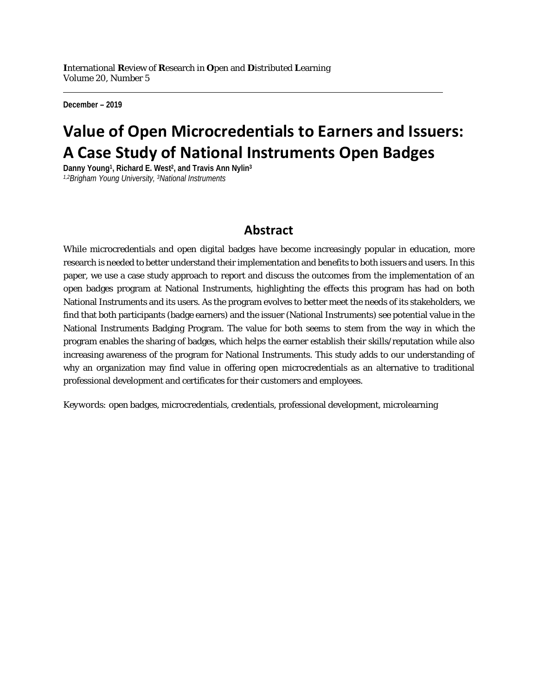**December – 2019**

# **Value of Open Microcredentials to Earners and Issuers: A Case Study of National Instruments Open Badges**

**Danny Young1, Richard E. West2, and Travis Ann Nylin3** *1,2Brigham Young University, 3National Instruments*

## **Abstract**

While microcredentials and open digital badges have become increasingly popular in education, more research is needed to better understand their implementation and benefits to both issuers and users. In this paper, we use a case study approach to report and discuss the outcomes from the implementation of an open badges program at National Instruments, highlighting the effects this program has had on both National Instruments and its users. As the program evolves to better meet the needs of its stakeholders, we find that both participants (badge earners) and the issuer (National Instruments) see potential value in the National Instruments Badging Program. The value for both seems to stem from the way in which the program enables the sharing of badges, which helps the earner establish their skills/reputation while also increasing awareness of the program for National Instruments. This study adds to our understanding of why an organization may find value in offering open microcredentials as an alternative to traditional professional development and certificates for their customers and employees.

*Keywords:* open badges, microcredentials, credentials, professional development, microlearning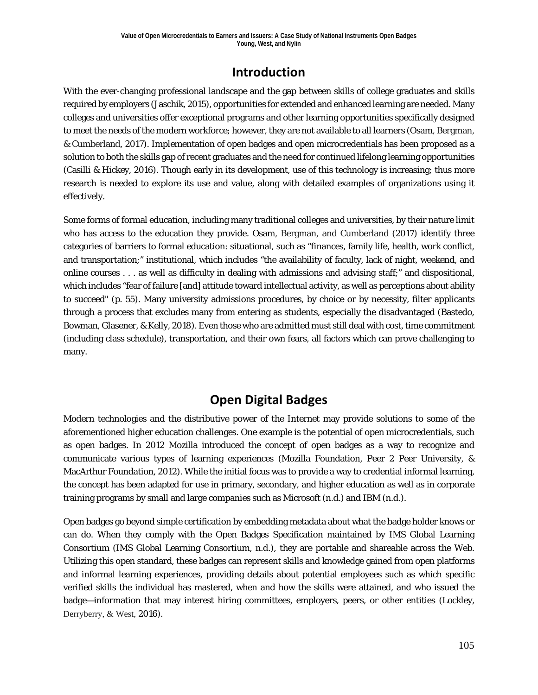## **Introduction**

With the ever-changing professional landscape and the gap between skills of college graduates and skills required by employers (Jaschik, 2015), opportunities for extended and enhanced learning are needed. Many colleges and universities offer exceptional programs and other learning opportunities specifically designed to meet the needs of the modern workforce; however, they are not available to all learners (Osam, Bergman, & Cumberland, 2017). Implementation of open badges and open microcredentials has been proposed as a solution to both the skills gap of recent graduates and the need for continued lifelong learning opportunities (Casilli & Hickey, 2016). Though early in its development, use of this technology is increasing; thus more research is needed to explore its use and value, along with detailed examples of organizations using it effectively.

Some forms of formal education, including many traditional colleges and universities, by their nature limit who has access to the education they provide. Osam, Bergman, and Cumberland (2017) identify three categories of barriers to formal education: situational, such as "finances, family life, health, work conflict, and transportation;" institutional, which includes "the availability of faculty, lack of night, weekend, and online courses . . . as well as difficulty in dealing with admissions and advising staff;" and dispositional, which includes "fear of failure [and] attitude toward intellectual activity, as well as perceptions about ability to succeed" (p. 55). Many university admissions procedures, by choice or by necessity, filter applicants through a process that excludes many from entering as students, especially the disadvantaged (Bastedo, Bowman, Glasener, & Kelly, 2018). Even those who are admitted must still deal with cost, time commitment (including class schedule), transportation, and their own fears, all factors which can prove challenging to many.

## **Open Digital Badges**

Modern technologies and the distributive power of the Internet may provide solutions to some of the aforementioned higher education challenges. One example is the potential of open microcredentials, such as open badges. In 2012 Mozilla introduced the concept of open badges as a way to recognize and communicate various types of learning experiences (Mozilla Foundation, Peer 2 Peer University, & MacArthur Foundation, 2012). While the initial focus was to provide a way to credential informal learning, the concept has been adapted for use in primary, secondary, and higher education as well as in corporate training programs by small and large companies such as Microsoft (n.d.) and IBM (n.d.).

Open badges go beyond simple certification by embedding metadata about what the badge holder knows or can do. When they comply with the Open Badges Specification maintained by IMS Global Learning Consortium (IMS Global Learning Consortium, n.d.), they are portable and shareable across the Web. Utilizing this open standard, these badges can represent skills and knowledge gained from open platforms and informal learning experiences, providing details about potential employees such as which specific verified skills the individual has mastered, when and how the skills were attained, and who issued the badge—information that may interest hiring committees, employers, peers, or other entities (Lockley, Derryberry, & West, 2016).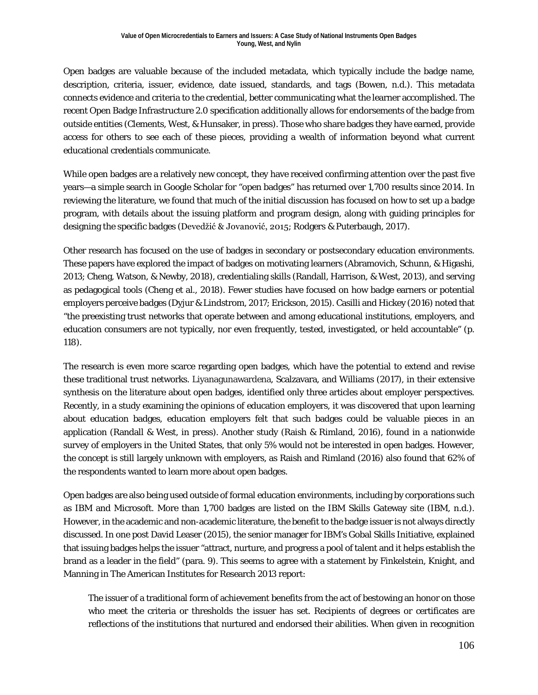Open badges are valuable because of the included metadata, which typically include the badge name, description, criteria, issuer, evidence, date issued, standards, and tags (Bowen, n.d.). This metadata connects evidence and criteria to the credential, better communicating what the learner accomplished. The recent Open Badge Infrastructure 2.0 specification additionally allows for endorsements of the badge from outside entities (Clements, West, & Hunsaker, in press). Those who share badges they have earned, provide access for others to see each of these pieces, providing a wealth of information beyond what current educational credentials communicate.

While open badges are a relatively new concept, they have received confirming attention over the past five years—a simple search in Google Scholar for "open badges" has returned over 1,700 results since 2014. In reviewing the literature, we found that much of the initial discussion has focused on how to set up a badge program, with details about the issuing platform and program design, along with guiding principles for designing the specific badges (Devedžić & Jovanović, 2015; Rodgers & Puterbaugh, 2017).

Other research has focused on the use of badges in secondary or postsecondary education environments. These papers have explored the impact of badges on motivating learners (Abramovich, Schunn, & Higashi, 2013; Cheng, Watson, & Newby, 2018), credentialing skills (Randall, Harrison, & West, 2013), and serving as pedagogical tools (Cheng et al., 2018). Fewer studies have focused on how badge earners or potential employers perceive badges (Dyjur & Lindstrom, 2017; Erickson, 2015). Casilli and Hickey (2016) noted that "the preexisting trust networks that operate between and among educational institutions, employers, and education consumers are not typically, nor even frequently, tested, investigated, or held accountable" (p. 118).

The research is even more scarce regarding open badges, which have the potential to extend and revise these traditional trust networks. Liyanagunawardena, Scalzavara, and Williams (2017), in their extensive synthesis on the literature about open badges, identified only three articles about employer perspectives. Recently, in a study examining the opinions of education employers, it was discovered that upon learning about education badges, education employers felt that such badges could be valuable pieces in an application (Randall & West, in press). Another study (Raish & Rimland, 2016), found in a nationwide survey of employers in the United States, that only 5% would not be interested in open badges. However, the concept is still largely unknown with employers, as Raish and Rimland (2016) also found that 62% of the respondents wanted to learn more about open badges.

Open badges are also being used outside of formal education environments, including by corporations such as IBM and Microsoft. More than 1,700 badges are listed on the IBM Skills Gateway site (IBM, n.d.). However, in the academic and non-academic literature, the benefit to the badge issuer is not always directly discussed. In one post David Leaser (2015), the senior manager for IBM's Gobal Skills Initiative, explained that issuing badges helps the issuer "attract, nurture, and progress a pool of talent and it helps establish the brand as a leader in the field" (para. 9). This seems to agree with a statement by Finkelstein, Knight, and Manning in The American Institutes for Research 2013 report:

The issuer of a traditional form of achievement benefits from the act of bestowing an honor on those who meet the criteria or thresholds the issuer has set. Recipients of degrees or certificates are reflections of the institutions that nurtured and endorsed their abilities. When given in recognition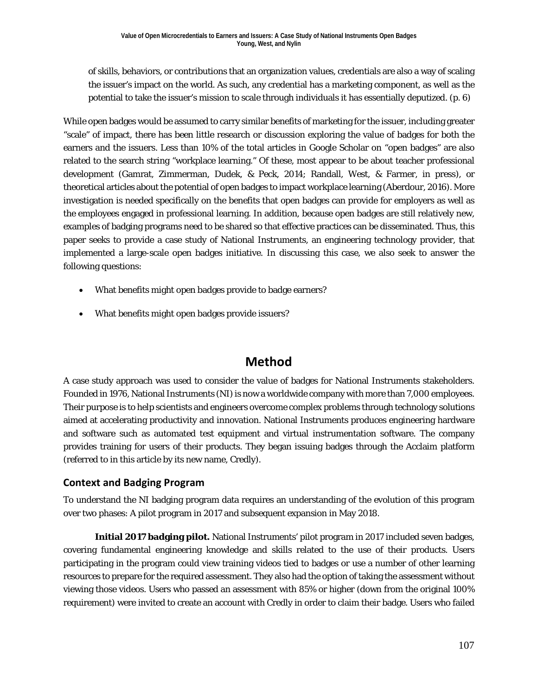of skills, behaviors, or contributions that an organization values, credentials are also a way of scaling the issuer's impact on the world. As such, any credential has a marketing component, as well as the potential to take the issuer's mission to scale through individuals it has essentially deputized. (p. 6)

While open badges would be assumed to carry similar benefits of marketing for the issuer, including greater "scale" of impact, there has been little research or discussion exploring the value of badges for both the earners and the issuers. Less than 10% of the total articles in Google Scholar on "open badges" are also related to the search string "workplace learning." Of these, most appear to be about teacher professional development (Gamrat, Zimmerman, Dudek, & Peck, 2014; Randall, West, & Farmer, in press), or theoretical articles about the potential of open badges to impact workplace learning (Aberdour, 2016). More investigation is needed specifically on the benefits that open badges can provide for employers as well as the employees engaged in professional learning. In addition, because open badges are still relatively new, examples of badging programs need to be shared so that effective practices can be disseminated. Thus, this paper seeks to provide a case study of National Instruments, an engineering technology provider, that implemented a large-scale open badges initiative. In discussing this case, we also seek to answer the following questions:

- What benefits might open badges provide to badge earners?
- What benefits might open badges provide issuers?

## **Method**

A case study approach was used to consider the value of badges for National Instruments stakeholders. Founded in 1976, National Instruments (NI) is now a worldwide company with more than 7,000 employees. Their purpose is to help scientists and engineers overcome complex problems through technology solutions aimed at accelerating productivity and innovation. National Instruments produces engineering hardware and software such as automated test equipment and virtual instrumentation software. The company provides training for users of their products. They began issuing badges through the Acclaim platform (referred to in this article by its new name, Credly).

### **Context and Badging Program**

To understand the NI badging program data requires an understanding of the evolution of this program over two phases: A pilot program in 2017 and subsequent expansion in May 2018.

**Initial 2017 badging pilot.** National Instruments' pilot program in 2017 included seven badges, covering fundamental engineering knowledge and skills related to the use of their products. Users participating in the program could view training videos tied to badges or use a number of other learning resources to prepare for the required assessment. They also had the option of taking the assessment without viewing those videos. Users who passed an assessment with 85% or higher (down from the original 100% requirement) were invited to create an account with Credly in order to claim their badge. Users who failed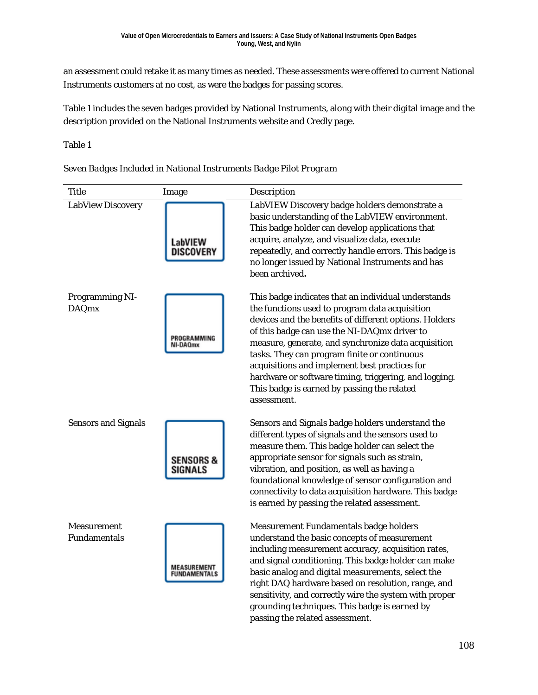an assessment could retake it as many times as needed. These assessments were offered to current National Instruments customers at no cost, as were the badges for passing scores.

Table 1 includes the seven badges provided by National Instruments, along with their digital image and the description provided on the National Instruments website and Credly page.

Table 1



grounding techniques. This badge is earned by

passing the related assessment.

*Seven Badges Included in National Instruments Badge Pilot Program*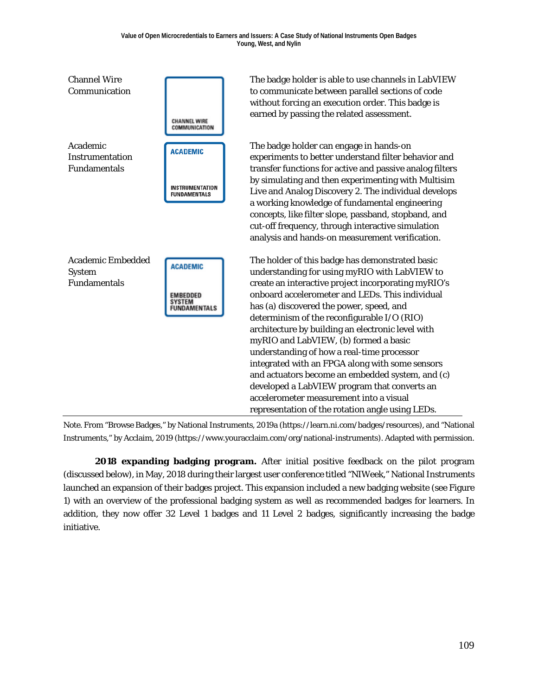

*Note.* From "Browse Badges," by National Instruments, 2019a (https://learn.ni.com/badges/resources), and "National Instruments," by Acclaim, 2019 (https://www.youracclaim.com/org/national-instruments). Adapted with permission*.*

**2018 expanding badging program.** After initial positive feedback on the pilot program (discussed below), in May, 2018 during their largest user conference titled "NIWeek," National Instruments launched an expansion of their badges project. This expansion included a new badging website (see Figure 1) with an overview of the professional badging system as well as recommended badges for learners. In addition, they now offer 32 Level 1 badges and 11 Level 2 badges, significantly increasing the badge initiative.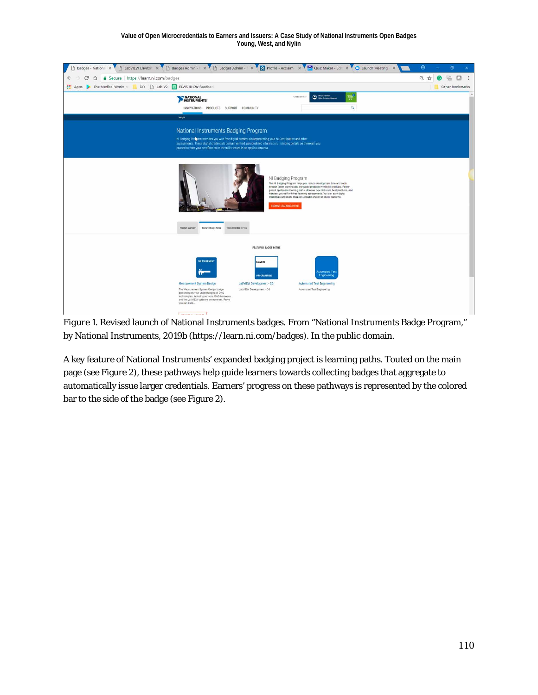#### **Value of Open Microcredentials to Earners and Issuers: A Case Study of National Instruments Open Badges Young, West, and Nylin**



*Figure 1.* Revised launch of National Instruments badges. From "National Instruments Badge Program," by National Instruments, 2019b [\(https://learn.ni.com/badges\)](https://learn.ni.com/badges). In the public domain.

A key feature of National Instruments' expanded badging project is learning paths. Touted on the main page (see Figure 2), these pathways help guide learners towards collecting badges that aggregate to automatically issue larger credentials. Earners' progress on these pathways is represented by the colored bar to the side of the badge (see Figure 2).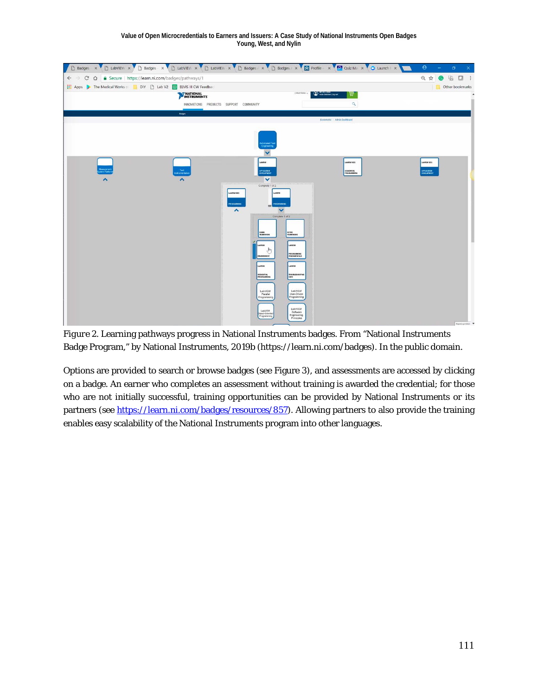

*Figure 2.* Learning pathways progress in National Instruments badges. From "National Instruments Badge Program," by National Instruments, 2019b [\(https://learn.ni.com/badges\)](https://learn.ni.com/badges). In the public domain.

Options are provided to search or browse badges (see Figure 3), and assessments are accessed by clicking on a badge. An earner who completes an assessment without training is awarded the credential; for those who are not initially successful, training opportunities can be provided by National Instruments or its partners (see [https://learn.ni.com/badges/resources/857\)](https://learn.ni.com/badges/resources/857). Allowing partners to also provide the training enables easy scalability of the National Instruments program into other languages.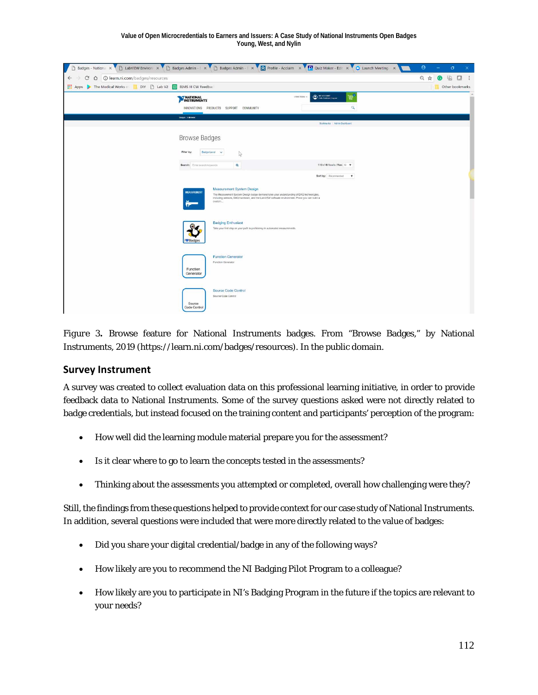| $\Box$<br>Badges - National X                                                  | Badges Admin - X Badges Admin - X A Profile - Acclaim X 2 Quiz Maker - Edit X C Launch Meeting X                                                                                                                                                              | $\Theta$ |   | o               | $\times$ |
|--------------------------------------------------------------------------------|---------------------------------------------------------------------------------------------------------------------------------------------------------------------------------------------------------------------------------------------------------------|----------|---|-----------------|----------|
| 1 D learn.ni.com/badges/resources<br>$\mathcal{C}$<br>$\Omega$<br>$\leftarrow$ |                                                                                                                                                                                                                                                               | Q ☆      | 밖 | o               |          |
| Apps > The Medical Works O DIY   Lab V2 E ELVIS III CW Feedbac                 |                                                                                                                                                                                                                                                               |          |   | Other bookmarks |          |
|                                                                                | <b>O</b> WACCOUNT<br>島<br>United States v<br>NATIONAL<br>INSTRUMENTS<br>$\alpha$<br>INNOVATIONS PRODUCTS SUPPORT COMMUNITY                                                                                                                                    |          |   |                 |          |
|                                                                                | Badges > Browse                                                                                                                                                                                                                                               |          |   |                 |          |
|                                                                                | Bookmarks Admin Dashboard                                                                                                                                                                                                                                     |          |   |                 |          |
|                                                                                | <b>Browse Badges</b><br>Badge Level v<br>Filter by:<br>$\sqrt{2}$                                                                                                                                                                                             |          |   |                 |          |
|                                                                                | 1-10 of 40 Results   View: 10 $\mathbf v$<br>$\alpha$<br>Search: Enter search keywords                                                                                                                                                                        |          |   |                 |          |
|                                                                                | Sort by: Recommended<br>$\boldsymbol{\mathrm{v}}$                                                                                                                                                                                                             |          |   |                 |          |
|                                                                                | <b>Measurement System Design</b><br><b>MEASUREMENT</b><br>The Measurement System Design badge demonstrates your understanding of DAQ technologies.<br>Including sensors, DAQ hardware, and the LabVIEW software environment. Prove you can build a<br>custom. |          |   |                 |          |
|                                                                                | <b>Badging Enthusiast</b><br>Take your first step on your path to proficiency in automated measurements.<br><b>I</b> Badges                                                                                                                                   |          |   |                 |          |
|                                                                                | <b>Function Generator</b><br>Function Generator<br>Function<br>Generator                                                                                                                                                                                      |          |   |                 |          |
|                                                                                | Source Code Control<br>Source Code Control<br>Source<br>Code Control                                                                                                                                                                                          |          |   |                 |          |

*Figure 3.* Browse feature for National Instruments badges. From "Browse Badges," by National Instruments, 2019 [\(https://learn.ni.com/badges/](https://learn.ni.com/badges)resources). In the public domain.

### **Survey Instrument**

A survey was created to collect evaluation data on this professional learning initiative, in order to provide feedback data to National Instruments. Some of the survey questions asked were not directly related to badge credentials, but instead focused on the training content and participants' perception of the program:

- How well did the learning module material prepare you for the assessment?
- Is it clear where to go to learn the concepts tested in the assessments?
- Thinking about the assessments you attempted or completed, overall how challenging were they?

Still, the findings from these questions helped to provide context for our case study of National Instruments. In addition, several questions were included that were more directly related to the value of badges:

- Did you share your digital credential/badge in any of the following ways?
- How likely are you to recommend the NI Badging Pilot Program to a colleague?
- How likely are you to participate in NI's Badging Program in the future if the topics are relevant to your needs?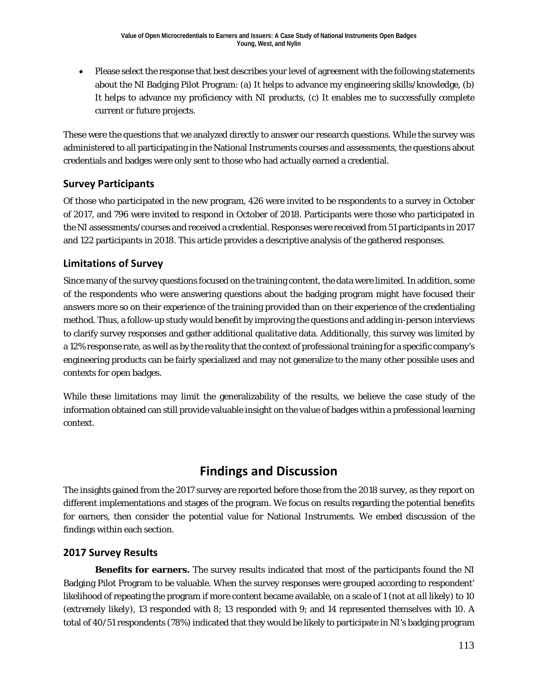• Please select the response that best describes your level of agreement with the following statements about the NI Badging Pilot Program: (a) It helps to advance my engineering skills/knowledge, (b) It helps to advance my proficiency with NI products, (c) It enables me to successfully complete current or future projects.

These were the questions that we analyzed directly to answer our research questions. While the survey was administered to all participating in the National Instruments courses and assessments, the questions about credentials and badges were only sent to those who had actually earned a credential.

### **Survey Participants**

Of those who participated in the new program, 426 were invited to be respondents to a survey in October of 2017, and 796 were invited to respond in October of 2018. Participants were those who participated in the NI assessments/courses and received a credential. Responses were received from 51 participants in 2017 and 122 participants in 2018. This article provides a descriptive analysis of the gathered responses.

### **Limitations of Survey**

Since many of the survey questions focused on the training content, the data were limited. In addition, some of the respondents who were answering questions about the badging program might have focused their answers more so on their experience of the training provided than on their experience of the credentialing method. Thus, a follow-up study would benefit by improving the questions and adding in-person interviews to clarify survey responses and gather additional qualitative data. Additionally, this survey was limited by a 12% response rate, as well as by the reality that the context of professional training for a specific company's engineering products can be fairly specialized and may not generalize to the many other possible uses and contexts for open badges.

While these limitations may limit the generalizability of the results, we believe the case study of the information obtained can still provide valuable insight on the value of badges within a professional learning context.

## **Findings and Discussion**

The insights gained from the 2017 survey are reported before those from the 2018 survey, as they report on different implementations and stages of the program. We focus on results regarding the potential benefits for earners, then consider the potential value for National Instruments. We embed discussion of the findings within each section.

### **2017 Survey Results**

**Benefits for earners.** The survey results indicated that most of the participants found the NI Badging Pilot Program to be valuable. When the survey responses were grouped according to respondent' likelihood of repeating the program if more content became available, on a scale of 1 (*not at all likely*) to 10 (*extremely likely*), 13 responded with 8; 13 responded with 9; and 14 represented themselves with 10. A total of 40/51 respondents (78%) indicated that they would be likely to participate in NI's badging program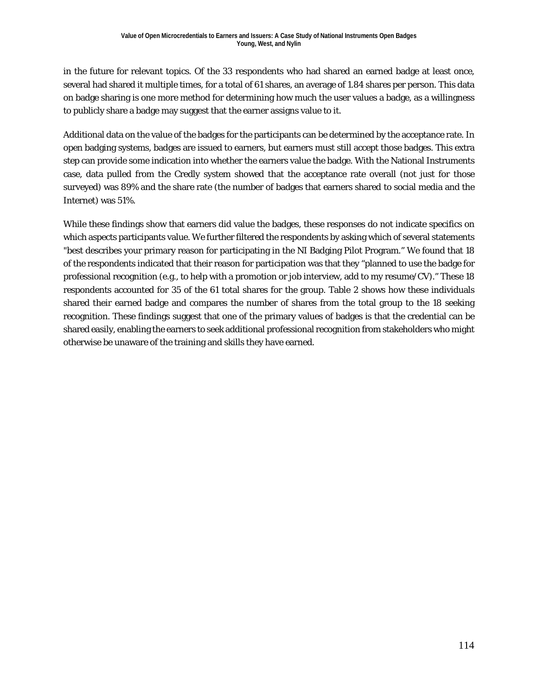in the future for relevant topics. Of the 33 respondents who had shared an earned badge at least once, several had shared it multiple times, for a total of 61 shares, an average of 1.84 shares per person. This data on badge sharing is one more method for determining how much the user values a badge, as a willingness to publicly share a badge may suggest that the earner assigns value to it.

Additional data on the value of the badges for the participants can be determined by the acceptance rate. In open badging systems, badges are issued to earners, but earners must still accept those badges. This extra step can provide some indication into whether the earners value the badge. With the National Instruments case, data pulled from the Credly system showed that the acceptance rate overall (not just for those surveyed) was 89% and the share rate (the number of badges that earners shared to social media and the Internet) was 51%.

While these findings show that earners did value the badges, these responses do not indicate specifics on which aspects participants value. We further filtered the respondents by asking which of several statements "best describes your primary reason for participating in the NI Badging Pilot Program." We found that 18 of the respondents indicated that their reason for participation was that they "planned to use the badge for professional recognition (e.g., to help with a promotion or job interview, add to my resume/CV)." These 18 respondents accounted for 35 of the 61 total shares for the group. Table 2 shows how these individuals shared their earned badge and compares the number of shares from the total group to the 18 seeking recognition. These findings suggest that one of the primary values of badges is that the credential can be shared easily, enabling the earners to seek additional professional recognition from stakeholders who might otherwise be unaware of the training and skills they have earned.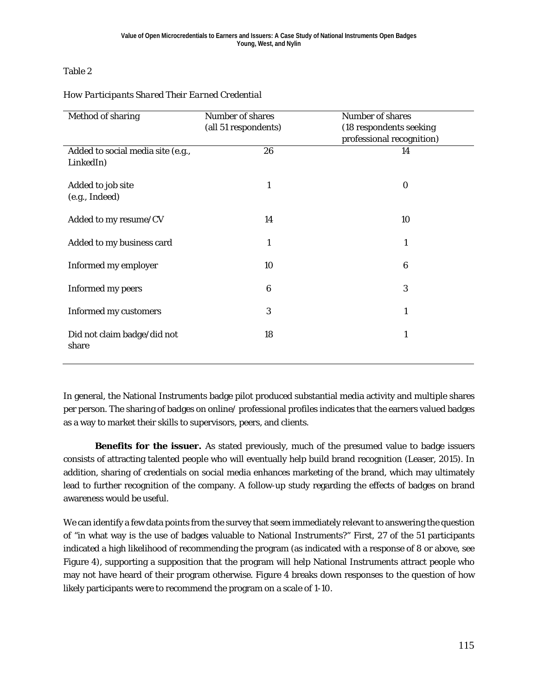### Table 2

| Method of sharing                              | Number of shares<br>(all 51 respondents) | Number of shares<br>(18 respondents seeking<br>professional recognition) |
|------------------------------------------------|------------------------------------------|--------------------------------------------------------------------------|
| Added to social media site (e.g.,<br>LinkedIn) | 26                                       | 14                                                                       |
| Added to job site<br>(e.g., Indeed)            | 1                                        | $\boldsymbol{0}$                                                         |
| Added to my resume/CV                          | 14                                       | 10                                                                       |
| Added to my business card                      | $\mathbf{1}$                             | 1                                                                        |
| Informed my employer                           | 10                                       | 6                                                                        |
| Informed my peers                              | 6                                        | 3                                                                        |
| <b>Informed my customers</b>                   | 3                                        | 1                                                                        |
| Did not claim badge/did not<br>share           | 18                                       | 1                                                                        |

### *How Participants Shared Their Earned Credential*

In general, the National Instruments badge pilot produced substantial media activity and multiple shares per person. The sharing of badges on online/ professional profiles indicates that the earners valued badges as a way to market their skills to supervisors, peers, and clients.

**Benefits for the issuer.** As stated previously, much of the presumed value to badge issuers consists of attracting talented people who will eventually help build brand recognition (Leaser, 2015). In addition, sharing of credentials on social media enhances marketing of the brand, which may ultimately lead to further recognition of the company. A follow-up study regarding the effects of badges on brand awareness would be useful.

We can identify a few data points from the survey that seem immediately relevant to answering the question of "in what way is the use of badges valuable to National Instruments?" First, 27 of the 51 participants indicated a high likelihood of recommending the program (as indicated with a response of 8 or above, see Figure 4), supporting a supposition that the program will help National Instruments attract people who may not have heard of their program otherwise. Figure 4 breaks down responses to the question of how likely participants were to recommend the program on a scale of 1-10.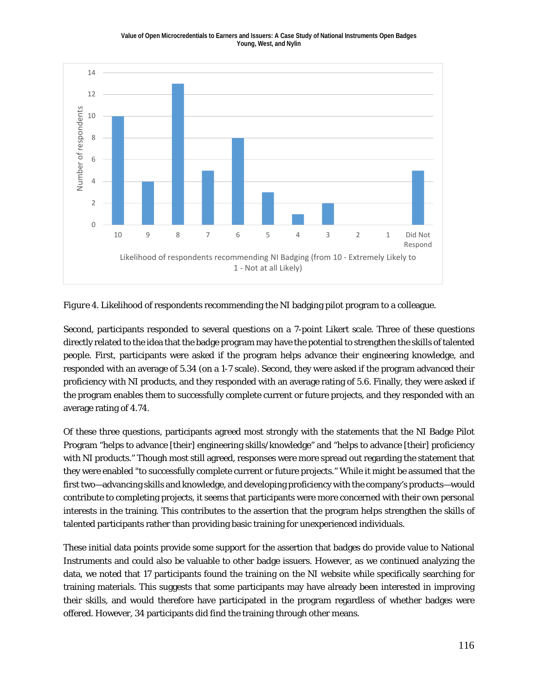#### **Value of Open Microcredentials to Earners and Issuers: A Case Study of National Instruments Open Badges Young, West, and Nylin**



*Figure* 4. Likelihood of respondents recommending the NI badging pilot program to a colleague.

Second, participants responded to several questions on a 7-point Likert scale. Three of these questions directly related to the idea that the badge program may have the potential to strengthen the skills of talented people. First, participants were asked if the program helps advance their engineering knowledge, and responded with an average of 5.34 (on a 1-7 scale). Second, they were asked if the program advanced their proficiency with NI products, and they responded with an average rating of 5.6. Finally, they were asked if the program enables them to successfully complete current or future projects, and they responded with an average rating of 4.74.

Of these three questions, participants agreed most strongly with the statements that the NI Badge Pilot Program "helps to advance [their] engineering skills/knowledge" and "helps to advance [their] proficiency with NI products." Though most still agreed, responses were more spread out regarding the statement that they were enabled "to successfully complete current or future projects." While it might be assumed that the first two—advancing skills and knowledge, and developing proficiency with the company's products—would contribute to completing projects, it seems that participants were more concerned with their own personal interests in the training. This contributes to the assertion that the program helps strengthen the skills of talented participants rather than providing basic training for unexperienced individuals.

These initial data points provide some support for the assertion that badges do provide value to National Instruments and could also be valuable to other badge issuers. However, as we continued analyzing the data, we noted that 17 participants found the training on the NI website while specifically searching for training materials. This suggests that some participants may have already been interested in improving their skills, and would therefore have participated in the program regardless of whether badges were offered. However, 34 participants did find the training through other means.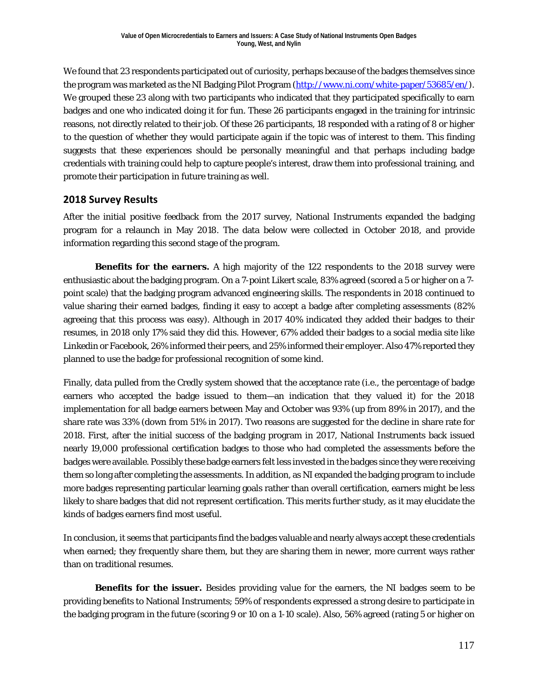We found that 23 respondents participated out of curiosity, perhaps because of the badges themselves since the program was marketed as the NI Badging Pilot Program [\(http://www.ni.com/white-paper/53685/en/\)](http://www.ni.com/white-paper/53685/en/). We grouped these 23 along with two participants who indicated that they participated specifically to earn badges and one who indicated doing it for fun. These 26 participants engaged in the training for intrinsic reasons, not directly related to their job. Of these 26 participants, 18 responded with a rating of 8 or higher to the question of whether they would participate again if the topic was of interest to them. This finding suggests that these experiences should be personally meaningful and that perhaps including badge credentials with training could help to capture people's interest, draw them into professional training, and promote their participation in future training as well.

### **2018 Survey Results**

After the initial positive feedback from the 2017 survey, National Instruments expanded the badging program for a relaunch in May 2018. The data below were collected in October 2018, and provide information regarding this second stage of the program.

**Benefits for the earners.** A high majority of the 122 respondents to the 2018 survey were enthusiastic about the badging program. On a 7-point Likert scale, 83% agreed (scored a 5 or higher on a 7 point scale) that the badging program advanced engineering skills. The respondents in 2018 continued to value sharing their earned badges, finding it easy to accept a badge after completing assessments (82% agreeing that this process was easy). Although in 2017 40% indicated they added their badges to their resumes, in 2018 only 17% said they did this. However, 67% added their badges to a social media site like Linkedin or Facebook, 26% informed their peers, and 25% informed their employer. Also 47% reported they planned to use the badge for professional recognition of some kind.

Finally, data pulled from the Credly system showed that the acceptance rate (i.e., the percentage of badge earners who accepted the badge issued to them—an indication that they valued it) for the 2018 implementation for all badge earners between May and October was 93% (up from 89% in 2017), and the share rate was 33% (down from 51% in 2017). Two reasons are suggested for the decline in share rate for 2018. First, after the initial success of the badging program in 2017, National Instruments back issued nearly 19,000 professional certification badges to those who had completed the assessments before the badges were available. Possibly these badge earners felt less invested in the badges since they were receiving them so long after completing the assessments. In addition, as NI expanded the badging program to include more badges representing particular learning goals rather than overall certification, earners might be less likely to share badges that did not represent certification. This merits further study, as it may elucidate the kinds of badges earners find most useful.

In conclusion, it seems that participants find the badges valuable and nearly always accept these credentials when earned; they frequently share them, but they are sharing them in newer, more current ways rather than on traditional resumes.

**Benefits for the issuer.** Besides providing value for the earners, the NI badges seem to be providing benefits to National Instruments; 59% of respondents expressed a strong desire to participate in the badging program in the future (scoring 9 or 10 on a 1-10 scale). Also, 56% agreed (rating 5 or higher on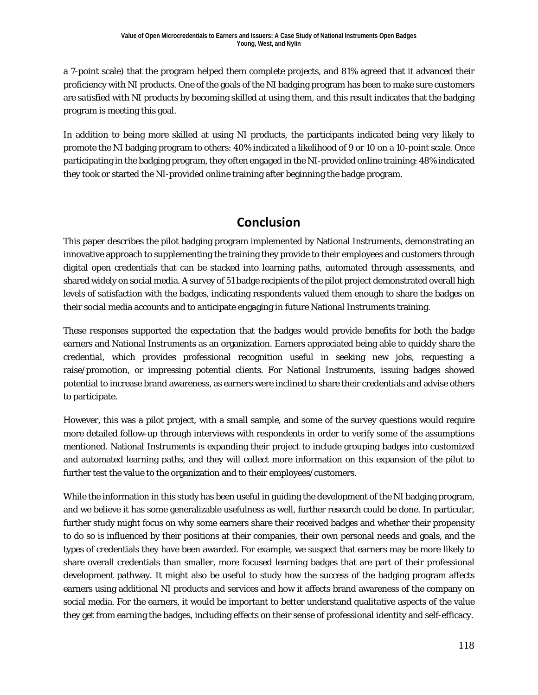a 7-point scale) that the program helped them complete projects, and 81% agreed that it advanced their proficiency with NI products. One of the goals of the NI badging program has been to make sure customers are satisfied with NI products by becoming skilled at using them, and this result indicates that the badging program is meeting this goal.

In addition to being more skilled at using NI products, the participants indicated being very likely to promote the NI badging program to others: 40% indicated a likelihood of 9 or 10 on a 10-point scale. Once participating in the badging program, they often engaged in the NI-provided online training: 48% indicated they took or started the NI-provided online training after beginning the badge program.

## **Conclusion**

This paper describes the pilot badging program implemented by National Instruments, demonstrating an innovative approach to supplementing the training they provide to their employees and customers through digital open credentials that can be stacked into learning paths, automated through assessments, and shared widely on social media. A survey of 51 badge recipients of the pilot project demonstrated overall high levels of satisfaction with the badges, indicating respondents valued them enough to share the badges on their social media accounts and to anticipate engaging in future National Instruments training.

These responses supported the expectation that the badges would provide benefits for both the badge earners and National Instruments as an organization. Earners appreciated being able to quickly share the credential, which provides professional recognition useful in seeking new jobs, requesting a raise/promotion, or impressing potential clients. For National Instruments, issuing badges showed potential to increase brand awareness, as earners were inclined to share their credentials and advise others to participate.

However, this was a pilot project, with a small sample, and some of the survey questions would require more detailed follow-up through interviews with respondents in order to verify some of the assumptions mentioned. National Instruments is expanding their project to include grouping badges into customized and automated learning paths, and they will collect more information on this expansion of the pilot to further test the value to the organization and to their employees/customers.

While the information in this study has been useful in guiding the development of the NI badging program, and we believe it has some generalizable usefulness as well, further research could be done. In particular, further study might focus on why some earners share their received badges and whether their propensity to do so is influenced by their positions at their companies, their own personal needs and goals, and the types of credentials they have been awarded. For example, we suspect that earners may be more likely to share overall credentials than smaller, more focused learning badges that are part of their professional development pathway. It might also be useful to study how the success of the badging program affects earners using additional NI products and services and how it affects brand awareness of the company on social media. For the earners, it would be important to better understand qualitative aspects of the value they get from earning the badges, including effects on their sense of professional identity and self-efficacy.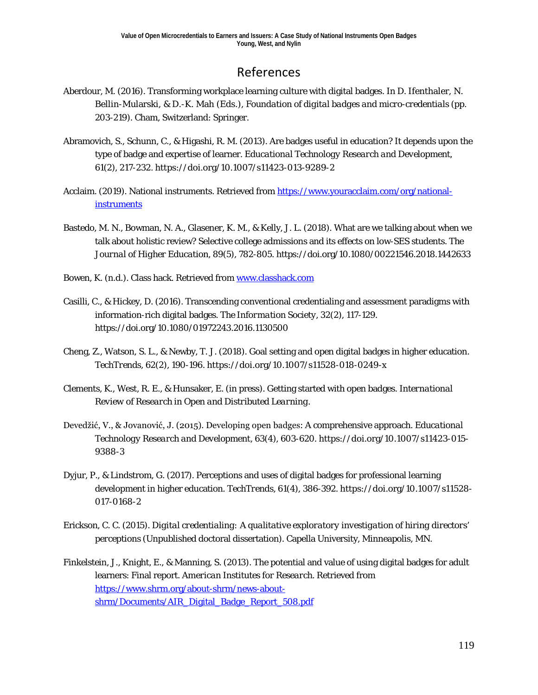## References

- Aberdour, M. (2016). Transforming workplace learning culture with digital badges. In D. Ifenthaler, N. Bellin-Mularski, & D.-K. Mah (Eds.), *Foundation of digital badges and micro-credentials* (pp. 203-219). Cham, Switzerland: Springer.
- Abramovich, S., Schunn, C., & Higashi, R. M. (2013). Are badges useful in education? It depends upon the type of badge and expertise of learner. *Educational Technology Research and Development*, *61*(2), 217-232. https://doi.org/10.1007/s11423-013-9289-2
- Acclaim. (2019). National instruments. Retrieved from [https://www.youracclaim.com/org/national](https://www.youracclaim.com/org/national-instruments)**[instruments](https://www.youracclaim.com/org/national-instruments)**
- Bastedo, M. N., Bowman, N. A., Glasener, K. M., & Kelly, J. L. (2018). What are we talking about when we talk about holistic review? Selective college admissions and its effects on low-SES students. *The Journal of Higher Education*, *89*(5), 782-805. https://doi.org/10.1080/00221546.2018.1442633
- Bowen, K. (n.d.). Class hack. Retrieved from [www.classhack.com](http://www.classhack.com/)
- Casilli, C., & Hickey, D. (2016). Transcending conventional credentialing and assessment paradigms with information-rich digital badges. *The Information Society, 32*(2), 117-129. https://doi.org/10.1080/01972243.2016.1130500
- Cheng, Z., Watson, S. L., & Newby, T. J. (2018). Goal setting and open digital badges in higher education. *TechTrends, 62*(2), 190-196. https://doi.org/10.1007/s11528-018-0249-x
- Clements, K., West, R. E., & Hunsaker, E. (in press). Getting started with open badges. *International Review of Research in Open and Distributed Learning.*
- Devedžić, V., & Jovanović, J. (2015). Developing open badges: A comprehensive approach. *Educational Technology Research and Development, 63*(4), 603-620. https://doi.org/10.1007/s11423-015- 9388-3
- Dyjur, P., & Lindstrom, G. (2017). Perceptions and uses of digital badges for professional learning development in higher education*. TechTrends, 61*(4), 386-392. https://doi.org/10.1007/s11528- 017-0168-2
- Erickson, C. C. (2015). *Digital credentialing: A qualitative exploratory investigation of hiring directors' perceptions* (Unpublished doctoral dissertation). Capella University, Minneapolis, MN.
- Finkelstein, J., Knight, E., & Manning, S. (2013). The potential and value of using digital badges for adult learners: Final report. *American Institutes for Research*. Retrieved from [https://www.shrm.org/about-shrm/news-about](https://www.shrm.org/about-shrm/news-about-shrm/Documents/AIR_Digital_Badge_Report_508.pdf)[shrm/Documents/AIR\\_Digital\\_Badge\\_Report\\_508.pdf](https://www.shrm.org/about-shrm/news-about-shrm/Documents/AIR_Digital_Badge_Report_508.pdf)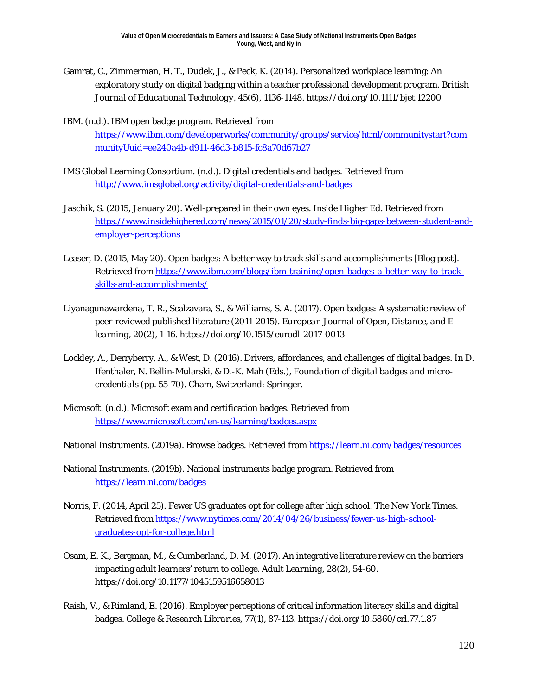- Gamrat, C., Zimmerman, H. T., Dudek, J., & Peck, K. (2014). Personalized workplace learning: An exploratory study on digital badging within a teacher professional development program. *British Journal of Educational Technology*, *45*(6), 1136-1148. https://doi.org/10.1111/bjet.12200
- IBM. (n.d.). IBM open badge program. Retrieved from [https://www.ibm.com/developerworks/community/groups/service/html/communitystart?com](https://www.ibm.com/developerworks/community/groups/service/html/communitystart?communityUuid=ee240a4b-d911-46d3-b815-fc8a70d67b27) [munityUuid=ee240a4b-d911-46d3-b815-fc8a70d67b27](https://www.ibm.com/developerworks/community/groups/service/html/communitystart?communityUuid=ee240a4b-d911-46d3-b815-fc8a70d67b27)
- IMS Global Learning Consortium. (n.d.). Digital credentials and badges. Retrieved from <http://www.imsglobal.org/activity/digital-credentials-and-badges>
- Jaschik, S. (2015, January 20). Well-prepared in their own eyes. *Inside Higher Ed*. Retrieved from [https://www.insidehighered.com/news/2015/01/20/study-finds-big-gaps-between-student-and](https://www.insidehighered.com/news/2015/01/20/study-finds-big-gaps-between-student-and-employer-perceptions)[employer-perceptions](https://www.insidehighered.com/news/2015/01/20/study-finds-big-gaps-between-student-and-employer-perceptions)
- Leaser, D. (2015, May 20). Open badges: A better way to track skills and accomplishments [Blog post]. Retrieved from [https://www.ibm.com/blogs/ibm-training/open-badges-a-better-way-to-track](https://www.ibm.com/blogs/ibm-training/open-badges-a-better-way-to-track-skills-and-accomplishments/)[skills-and-accomplishments/](https://www.ibm.com/blogs/ibm-training/open-badges-a-better-way-to-track-skills-and-accomplishments/)
- Liyanagunawardena, T. R., Scalzavara, S., & Williams, S. A. (2017). Open badges: A systematic review of peer-reviewed published literature (2011-2015). *European Journal of Open, Distance, and Elearning*, *20*(2), 1-16. https://doi.org/10.1515/eurodl-2017-0013
- Lockley, A., Derryberry, A., & West, D. (2016). Drivers, affordances, and challenges of digital badges. In D. Ifenthaler, N. Bellin-Mularski, & D.-K. Mah (Eds.), *Foundation of digital badges and microcredentials* (pp. 55-70). Cham, Switzerland: Springer.
- Microsoft. (n.d.). Microsoft exam and certification badges. Retrieved from <https://www.microsoft.com/en-us/learning/badges.aspx>
- National Instruments. (2019a). Browse badges. Retrieved fro[m https://learn.ni.com/badges/resources](https://learn.ni.com/badges/resources)
- National Instruments. (2019b). National instruments badge program. Retrieved from <https://learn.ni.com/badges>
- Norris, F. (2014, April 25). Fewer US graduates opt for college after high school. *The New York Times*. Retrieved from [https://www.nytimes.com/2014/04/26/business/fewer-us-high-school](https://www.nytimes.com/2014/04/26/business/fewer-us-high-school-graduates-opt-for-college.html)[graduates-opt-for-college.html](https://www.nytimes.com/2014/04/26/business/fewer-us-high-school-graduates-opt-for-college.html)
- Osam, E. K., Bergman, M., & Cumberland, D. M. (2017). An integrative literature review on the barriers impacting adult learners' return to college. *Adult Learning*, *28*(2), 54-60. https://doi.org/10.1177/1045159516658013
- Raish, V., & Rimland, E. (2016). Employer perceptions of critical information literacy skills and digital badges. *College & Research Libraries*, *77*(1), 87-113. https://doi.org/10.5860/crl.77.1.87